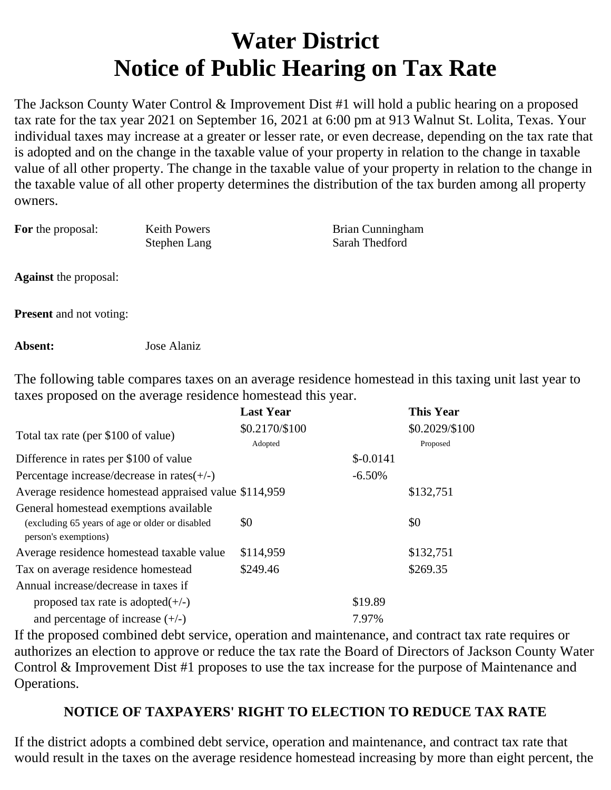## **Water District Notice of Public Hearing on Tax Rate**

The Jackson County Water Control & Improvement Dist #1 will hold a public hearing on a proposed tax rate for the tax year 2021 on September 16, 2021 at 6:00 pm at 913 Walnut St. Lolita, Texas. Your individual taxes may increase at a greater or lesser rate, or even decrease, depending on the tax rate that is adopted and on the change in the taxable value of your property in relation to the change in taxable value of all other property. The change in the taxable value of your property in relation to the change in the taxable value of all other property determines the distribution of the tax burden among all property owners.

| <b>For</b> the proposal: | <b>Keith Powers</b> |  |
|--------------------------|---------------------|--|
|                          | Stephen Lang        |  |

**Brian Cunningham** Sarah Thedford

**Against** the proposal:

**Present** and not voting:

**Absent:** Jose Alaniz

The following table compares taxes on an average residence homestead in this taxing unit last year to taxes proposed on the average residence homestead this year.

|                                                       | <b>Last Year</b> |            | <b>This Year</b> |
|-------------------------------------------------------|------------------|------------|------------------|
| Total tax rate (per \$100 of value)                   | \$0.2170/\$100   |            | \$0.2029/\$100   |
|                                                       | Adopted          |            | Proposed         |
| Difference in rates per \$100 of value                |                  | $$-0.0141$ |                  |
| Percentage increase/decrease in rates $(+/-)$         |                  | $-6.50%$   |                  |
| Average residence homestead appraised value \$114,959 |                  |            | \$132,751        |
| General homestead exemptions available                |                  |            |                  |
| (excluding 65 years of age or older or disabled       | \$0              |            | \$0              |
| person's exemptions)                                  |                  |            |                  |
| Average residence homestead taxable value             | \$114,959        |            | \$132,751        |
| Tax on average residence homestead                    | \$249.46         |            | \$269.35         |
| Annual increase/decrease in taxes if                  |                  |            |                  |
| proposed tax rate is adopted $(+/-)$                  |                  | \$19.89    |                  |
| and percentage of increase $(+/-)$                    |                  | 7.97%      |                  |

If the proposed combined debt service, operation and maintenance, and contract tax rate requires or authorizes an election to approve or reduce the tax rate the Board of Directors of Jackson County Water Control & Improvement Dist #1 proposes to use the tax increase for the purpose of Maintenance and Operations.

## **NOTICE OF TAXPAYERS' RIGHT TO ELECTION TO REDUCE TAX RATE**

If the district adopts a combined debt service, operation and maintenance, and contract tax rate that would result in the taxes on the average residence homestead increasing by more than eight percent, the